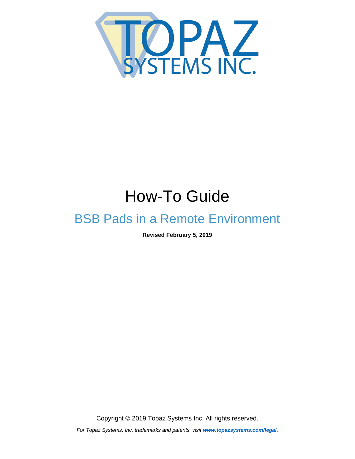<span id="page-0-0"></span>

# How-To Guide

## BSB Pads in a Remote Environment

**Revised February 5, 2019**

Copyright © 2019 Topaz Systems Inc. All rights reserved.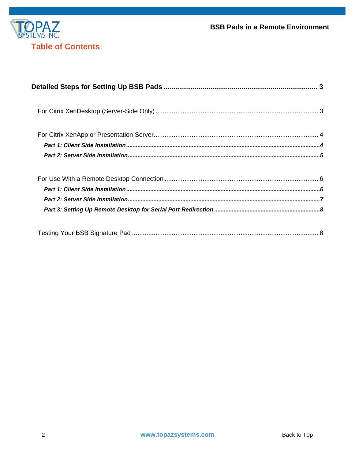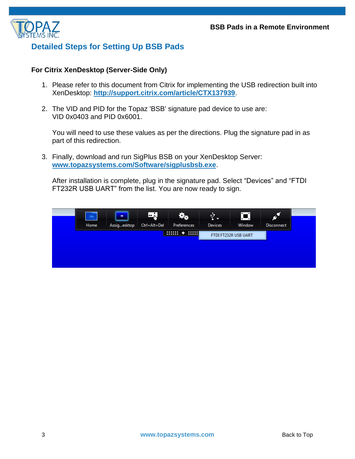

### <span id="page-2-0"></span>**Detailed Steps for Setting Up BSB Pads**

#### <span id="page-2-1"></span>**For Citrix XenDesktop (Server-Side Only)**

- 1. Please refer to this document from Citrix for implementing the USB redirection built into XenDesktop: **<http://support.citrix.com/article/CTX137939>**.
- 2. The VID and PID for the Topaz 'BSB' signature pad device to use are: VID 0x0403 and PID 0x6001.

You will need to use these values as per the directions. Plug the signature pad in as part of this redirection.

3. Finally, download and run SigPlus BSB on your XenDesktop Server: **[www.topazsystems.com/Software/sigplusbsb.exe](http://www.topazsystems.com/Software/sigplusbsb.exe)**.

After installation is complete, plug in the signature pad. Select "Devices" and "FTDI FT232R USB UART" from the list. You are now ready to sign.

<span id="page-2-2"></span>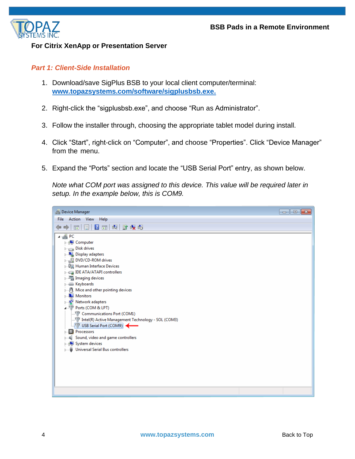

#### **For Citrix XenApp or Presentation Server**

#### <span id="page-3-0"></span>*Part 1: Client-Side Installation*

- 1. Download/save SigPlus BSB to your local client computer/terminal: **[www.topazsystems.com/software/sigplusbsb.exe.](http://www.topazsystems.com/software/sigplusbsb.exe)**
- 2. Right-click the "sigplusbsb.exe", and choose "Run as Administrator".
- 3. Follow the installer through, choosing the appropriate tablet model during install.
- 4. Click "Start", right-click on "Computer", and choose "Properties". Click "Device Manager" from the menu.
- 5. Expand the "Ports" section and locate the "USB Serial Port" entry, as shown below.

*Note what COM port was assigned to this device. This value will be required later in setup. In the example below, this is COM9.*

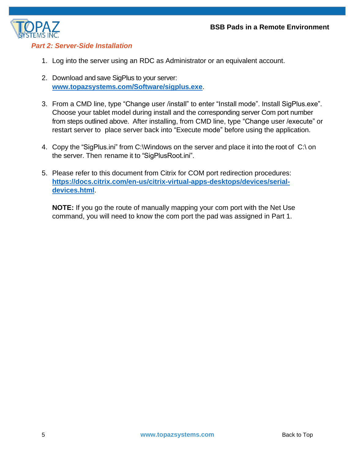

#### <span id="page-4-0"></span>*Part 2: Server-Side Installation*

- 1. Log into the server using an RDC as Administrator or an equivalent account.
- 2. Download and save SigPlus to your server: **[www.topazsystems.com/Software/sigplus.exe](http://www.topazsystems.com/Software/sigplus.exe)**.
- 3. From a CMD line, type "Change user /install" to enter "Install mode". Install SigPlus.exe". Choose your tablet model during install and the corresponding server Com port number from steps outlined above. After installing, from CMD line, type "Change user /execute" or restart server to place server back into "Execute mode" before using the application.
- 4. Copy the "SigPlus.ini" from C:\Windows on the server and place it into the root of C:\ on the server. Then rename it to "SigPlusRoot.ini".
- 5. Please refer to this document from Citrix for COM port redirection procedures: **[https://docs.citrix.com/en-us/citrix-virtual-apps-desktops/devices/serial](https://docs.citrix.com/en-us/citrix-virtual-apps-desktops/devices/serial-devices.html)[devices.html](https://docs.citrix.com/en-us/citrix-virtual-apps-desktops/devices/serial-devices.html)**.

<span id="page-4-1"></span>**NOTE:** If you go the route of manually mapping your com port with the Net Use command, you will need to know the com port the pad was assigned in Part 1.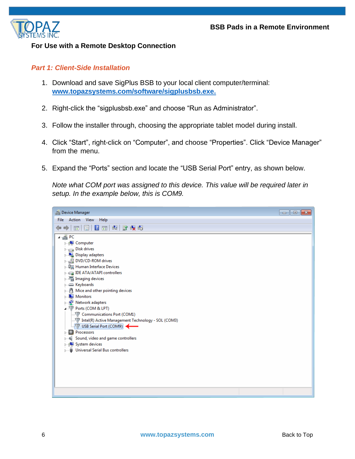

#### **For Use with a Remote Desktop Connection**

#### <span id="page-5-0"></span>*Part 1: Client-Side Installation*

- 1. Download and save SigPlus BSB to your local client computer/terminal: **[www.topazsystems.com/software/sigplusbsb.exe.](http://www.topazsystems.com/software/sigplusbsb.exe)**
- 2. Right-click the "sigplusbsb.exe" and choose "Run as Administrator".
- 3. Follow the installer through, choosing the appropriate tablet model during install.
- 4. Click "Start", right-click on "Computer", and choose "Properties". Click "Device Manager" from the menu.
- 5. Expand the "Ports" section and locate the "USB Serial Port" entry, as shown below.

*Note what COM port was assigned to this device. This value will be required later in setup. In the example below, this is COM9.*

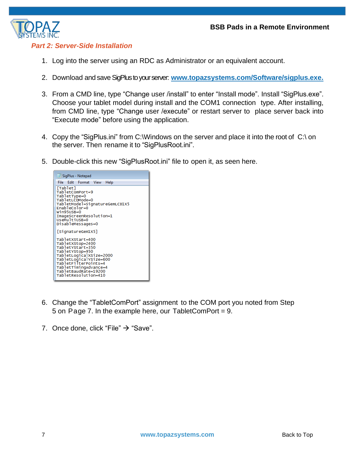

#### <span id="page-6-0"></span>*Part 2: Server-Side Installation*

- 1. Log into the server using an RDC as Administrator or an equivalent account.
- 2. Download and saveSigPlusto your server: **[www.topazsystems.com/Software/sigplus.exe.](http://www.topazsystems.com/Software/sigplus.exe)**
- 3. From a CMD line, type "Change user /install" to enter "Install mode". Install "SigPlus.exe". Choose your tablet model during install and the COM1 connection type. After installing, from CMD line, type "Change user /execute" or restart server to place server back into "Execute mode" before using the application.
- 4. Copy the "SigPlus.ini" from C:\Windows on the server and place it into the root of C:\ on the server. Then rename it to "SigPlusRoot.ini".
- 5. Double-click this new "SigPlusRoot.ini" file to open it, as seen here.



- 6. Change the "TabletComPort" assignment to the COM port you noted from Step 5 on Page 7. In the example here, our TabletComPort = 9.
- <span id="page-6-1"></span>7. Once done, click "File"  $\rightarrow$  "Save".